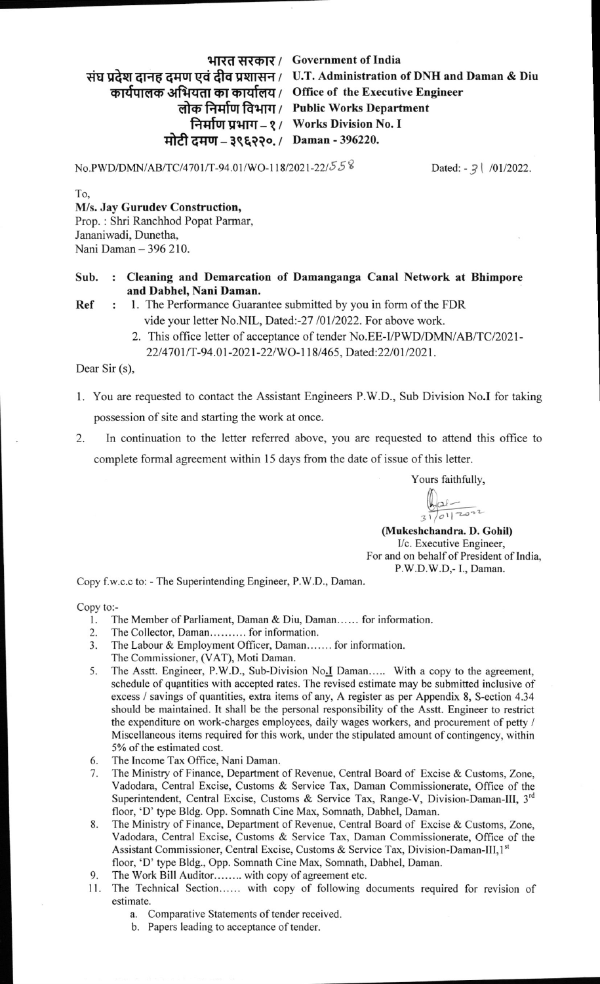## भारत सरकार / Government of India

संघ प्रदेश दानह दमण एवं दीव प्रशासन / U.T. Administration of DNH and Daman & Diu

कार्यपालक अभियता का कार्यालय / Office of the Executive Engineer

लोक निर्माण विभाग / Public Works Department

निर्माण प्रभाग – १ / Works Division No. I

मोटी दमण – ३९६२२०. / Daman - 396220.

No.PWD/DMN/AB/TC/4701/T-94.01/WO-118/2021-22/55 8 Dated: - 3 | /01/2022.

To,

## M/s. Jay Gurudev Construction,

Prop. : Shri Ranchhod Popat Parmar, Jananiwadi, Dunetha, Nani Daman - 396 210.

## Sub. Cleaning and Demarcation of Damanganga Canal Network at Bhimpore and Dabhel, Nani Daman.

<sup>1</sup>. The Performance Guarantee submitted by you in form of the FDR Ref  $\ddots$ vide your letter No.NIL, Dated:-27 /01/2022. For above work.

> 2. This office letter of acceptance of tender No.EE-I/PWD/DMN/AB/TC/2021-22/4701/T-94.01-2021-22/WO-118/465, Dated:22/01/2021.

Dear Sir (s),

- 1. You are requested to contact the Assistant Engineers P.W.D., Sub Division No.I for taking possession of site and starting the work at once.
- In continuation to the letter referred above, you are requested to attend this office to complete formal agreement within 15 days from the date of issue of this letter. 2.

Yours faithfully,

 $\frac{1}{3!}$   $\frac{1}{|0!|}$   $\frac{1}{20!}$ 

(Mukeshchandra. D. Gohil) Vc. Executive Engineer, For and on behalf of President of India, P.W.D.W.D,- 1., Daman.

Copy f.w.c.c to: - The Superintending Engineer, P.W.D., Daman

Copy to:-

- 1. The Member of Parliament, Daman & Diu, Daman...... for information.<br>2. The Collector, Daman.......... for information.
- The Collector, Daman........... for information.
- 3. The Labour & Employment Officer, Daman....... for information.
- The Commissioner, (VAT), Moti Daman.
- 5. The Asstt. Engineer, P.W.D., Sub-Division No.<sup>I</sup> Daman..... With a copy to the agreement, schedule of qupntities with accepted rates. The revised estimate may be submitted inclusive of excess / savings of quantities, extra items of any, A register as per Appendix 8, S-ection 4.34 should be maintained. It shall be the personal responsibility of the Assft. Engineer to restrict the expenditure on work-charges employees, daily wages workers, and procurement of petty / Miscellaneous items required for this work, under the stipulated amount of contingency, within 5% of the estimated cost.
- 6. The Income Tax Office, Nani Daman.
- 7. The Ministry of Finance, Department of Revenue, Central Board of Excise & Customs, Zone, Vadodara, Central Excise, Customs & Service Tax, Daman Commissionerate, Office of the Superintendent, Central Excise, Customs & Service Tax, Range-V, Division-Daman-III, 3<sup>rd</sup> floor, 'D' type Bldg. Opp. Somnath Cine Max, Somnath, Dabhel, Daman.
- 8. The Ministry of Finance, Department of Revenue, Central Board of Excise & Customs, Zone, Vadodara, Central Excise, Customs & Service Tax, Daman Commissionerate, Office of the Assistant Commissioner, Central Excise, Customs & Service Tax, Division-Daman-III,1<sup>st</sup> floor, 'D' type Bldg., Opp. Somnath Cine Max, Somnath, Dabhel, Daman.
- 9. The Work Bill Auditor........ with copy of agreement etc.
- ll. The Technical Section...... with copy of following documents required for revision of estimate.
	- a. Comparative Statements of tender received.
	- b. Papers leading to acceptance of tender.